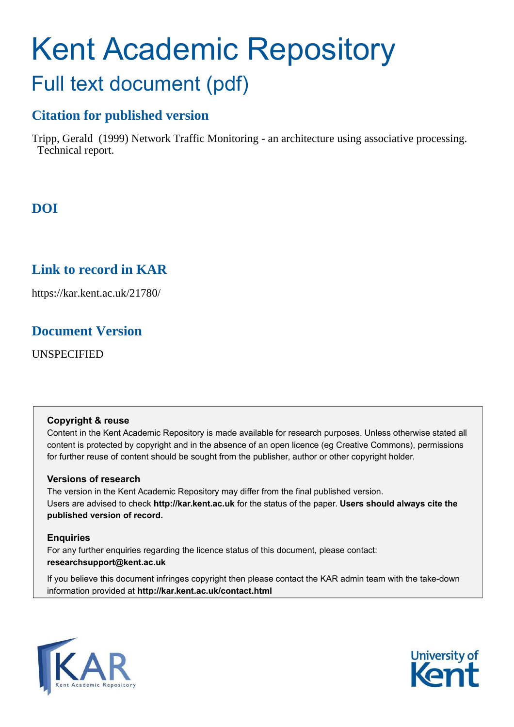# Kent Academic Repository Full text document (pdf)

# **Citation for published version**

Tripp, Gerald (1999) Network Traffic Monitoring - an architecture using associative processing. Technical report.

# **DOI**

# **Link to record in KAR**

https://kar.kent.ac.uk/21780/

# **Document Version**

UNSPECIFIED

## **Copyright & reuse**

Content in the Kent Academic Repository is made available for research purposes. Unless otherwise stated all content is protected by copyright and in the absence of an open licence (eg Creative Commons), permissions for further reuse of content should be sought from the publisher, author or other copyright holder.

## **Versions of research**

The version in the Kent Academic Repository may differ from the final published version. Users are advised to check **http://kar.kent.ac.uk** for the status of the paper. **Users should always cite the published version of record.**

## **Enquiries**

For any further enquiries regarding the licence status of this document, please contact: **researchsupport@kent.ac.uk**

If you believe this document infringes copyright then please contact the KAR admin team with the take-down information provided at **http://kar.kent.ac.uk/contact.html**



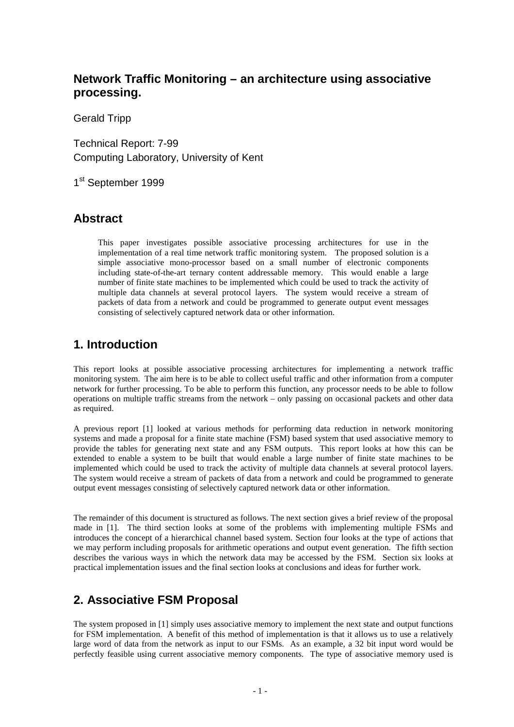## **Network Traffic Monitoring – an architecture using associative processing.**

Gerald Tripp

Technical Report: 7-99 Computing Laboratory, University of Kent

1st September 1999

## **Abstract**

This paper investigates possible associative processing architectures for use in the implementation of a real time network traffic monitoring system. The proposed solution is a simple associative mono-processor based on a small number of electronic components including state-of-the-art ternary content addressable memory. This would enable a large number of finite state machines to be implemented which could be used to track the activity of multiple data channels at several protocol layers. The system would receive a stream of packets of data from a network and could be programmed to generate output event messages consisting of selectively captured network data or other information.

## **1. Introduction**

This report looks at possible associative processing architectures for implementing a network traffic monitoring system. The aim here is to be able to collect useful traffic and other information from a computer network for further processing. To be able to perform this function, any processor needs to be able to follow operations on multiple traffic streams from the network – only passing on occasional packets and other data as required.

A previous report [1] looked at various methods for performing data reduction in network monitoring systems and made a proposal for a finite state machine (FSM) based system that used associative memory to provide the tables for generating next state and any FSM outputs. This report looks at how this can be extended to enable a system to be built that would enable a large number of finite state machines to be implemented which could be used to track the activity of multiple data channels at several protocol layers. The system would receive a stream of packets of data from a network and could be programmed to generate output event messages consisting of selectively captured network data or other information.

The remainder of this document is structured as follows. The next section gives a brief review of the proposal made in [1]. The third section looks at some of the problems with implementing multiple FSMs and introduces the concept of a hierarchical channel based system. Section four looks at the type of actions that we may perform including proposals for arithmetic operations and output event generation. The fifth section describes the various ways in which the network data may be accessed by the FSM. Section six looks at practical implementation issues and the final section looks at conclusions and ideas for further work.

## **2. Associative FSM Proposal**

The system proposed in [1] simply uses associative memory to implement the next state and output functions for FSM implementation. A benefit of this method of implementation is that it allows us to use a relatively large word of data from the network as input to our FSMs. As an example, a 32 bit input word would be perfectly feasible using current associative memory components. The type of associative memory used is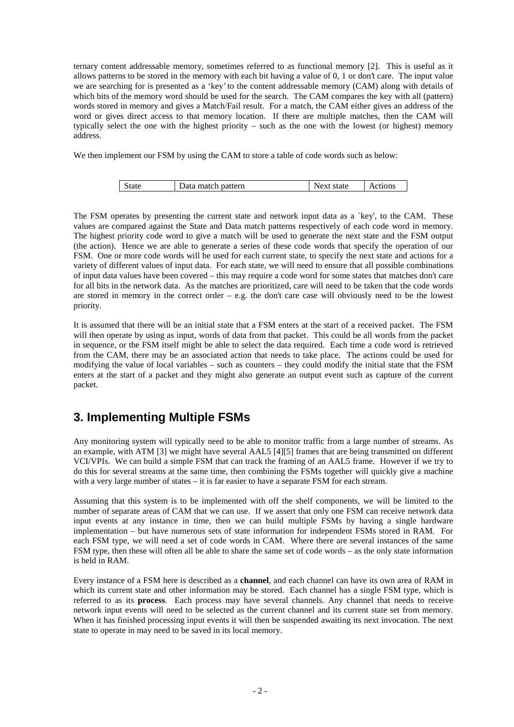ternary content addressable memory, sometimes referred to as functional memory [2]. This is useful as it allows patterns to be stored in the memory with each bit having a value of 0, 1 or don't care. The input value we are searching for is presented as a 'key' to the content addressable memory (CAM) along with details of which bits of the memory word should be used for the search. The CAM compares the key with all (pattern) words stored in memory and gives a Match/Fail result. For a match, the CAM either gives an address of the word or gives direct access to that memory location. If there are multiple matches, then the CAM will typically select the one with the highest priority – such as the one with the lowest (or highest) memory address.

We then implement our FSM by using the CAM to store a table of code words such as below:

|  | State | Data match pattern | Next state | Actions |
|--|-------|--------------------|------------|---------|
|--|-------|--------------------|------------|---------|

The FSM operates by presenting the current state and network input data as a `key', to the CAM. These values are compared against the State and Data match patterns respectively of each code word in memory. The highest priority code word to give a match will be used to generate the next state and the FSM output (the action). Hence we are able to generate a series of these code words that specify the operation of our FSM. One or more code words will be used for each current state, to specify the next state and actions for a variety of different values of input data. For each state, we will need to ensure that all possible combinations of input data values have been covered – this may require a code word for some states that matches don't care for all bits in the network data. As the matches are prioritized, care will need to be taken that the code words are stored in memory in the correct order  $-$  e.g. the don't care case will obviously need to be the lowest priority.

It is assumed that there will be an initial state that a FSM enters at the start of a received packet. The FSM will then operate by using as input, words of data from that packet. This could be all words from the packet in sequence, or the FSM itself might be able to select the data required. Each time a code word is retrieved from the CAM, there may be an associated action that needs to take place. The actions could be used for modifying the value of local variables – such as counters – they could modify the initial state that the FSM enters at the start of a packet and they might also generate an output event such as capture of the current packet.

## **3. Implementing Multiple FSMs**

Any monitoring system will typically need to be able to monitor traffic from a large number of streams. As an example, with ATM [3] we might have several AAL5 [4][5] frames that are being transmitted on different VCI/VPIs. We can build a simple FSM that can track the framing of an AAL5 frame. However if we try to do this for several streams at the same time, then combining the FSMs together will quickly give a machine with a very large number of states – it is far easier to have a separate FSM for each stream.

Assuming that this system is to be implemented with off the shelf components, we will be limited to the number of separate areas of CAM that we can use. If we assert that only one FSM can receive network data input events at any instance in time, then we can build multiple FSMs by having a single hardware implementation – but have numerous sets of state information for independent FSMs stored in RAM. For each FSM type, we will need a set of code words in CAM. Where there are several instances of the same FSM type, then these will often all be able to share the same set of code words – as the only state information is held in RAM.

Every instance of a FSM here is described as a **channel**, and each channel can have its own area of RAM in which its current state and other information may be stored. Each channel has a single FSM type, which is referred to as its **process**. Each process may have several channels. Any channel that needs to receive network input events will need to be selected as the current channel and its current state set from memory. When it has finished processing input events it will then be suspended awaiting its next invocation. The next state to operate in may need to be saved in its local memory.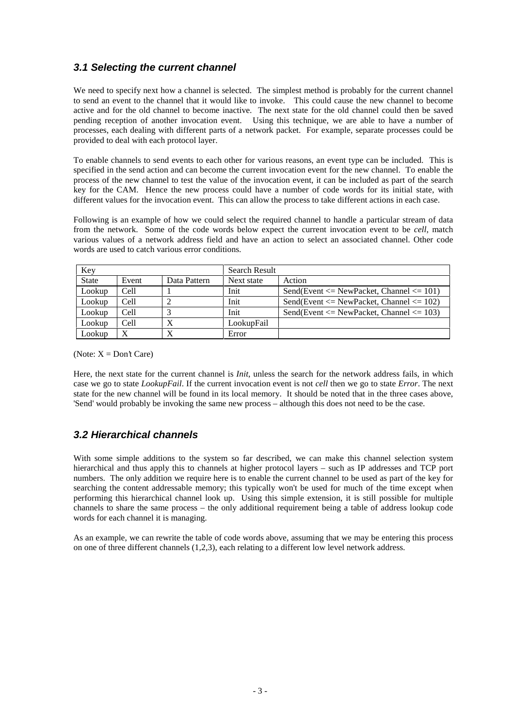#### **3.1 Selecting the current channel**

We need to specify next how a channel is selected. The simplest method is probably for the current channel to send an event to the channel that it would like to invoke. This could cause the new channel to become active and for the old channel to become inactive. The next state for the old channel could then be saved pending reception of another invocation event. Using this technique, we are able to have a number of processes, each dealing with different parts of a network packet. For example, separate processes could be provided to deal with each protocol layer.

To enable channels to send events to each other for various reasons, an event type can be included. This is specified in the send action and can become the current invocation event for the new channel. To enable the process of the new channel to test the value of the invocation event, it can be included as part of the search key for the CAM. Hence the new process could have a number of code words for its initial state, with different values for the invocation event. This can allow the process to take different actions in each case.

Following is an example of how we could select the required channel to handle a particular stream of data from the network. Some of the code words below expect the current invocation event to be *cell*, match various values of a network address field and have an action to select an associated channel. Other code words are used to catch various error conditions.

| Key          |       | <b>Search Result</b> |            |                                                  |
|--------------|-------|----------------------|------------|--------------------------------------------------|
| <b>State</b> | Event | Data Pattern         | Next state | Action                                           |
| Lookup       | Cell  |                      | Init       | Send(Event $\leq$ NewPacket, Channel $\leq$ 101) |
| Lookup       | Cell  |                      | Init       | Send(Event $\leq$ NewPacket, Channel $\leq$ 102) |
| Lookup       | Cell  |                      | Init       | Send(Event $\leq$ NewPacket, Channel $\leq$ 103) |
| Lookup       | Cell  |                      | LookupFail |                                                  |
| Lookup       |       |                      | Error      |                                                  |

(Note:  $X = Don't Care$ )

Here, the next state for the current channel is *Init*, unless the search for the network address fails, in which case we go to state *LookupFail*. If the current invocation event is not *cell* then we go to state *Error*. The next state for the new channel will be found in its local memory. It should be noted that in the three cases above, 'Send' would probably be invoking the same new process – although this does not need to be the case.

## **3.2 Hierarchical channels**

With some simple additions to the system so far described, we can make this channel selection system hierarchical and thus apply this to channels at higher protocol layers – such as IP addresses and TCP port numbers. The only addition we require here is to enable the current channel to be used as part of the key for searching the content addressable memory; this typically won't be used for much of the time except when performing this hierarchical channel look up. Using this simple extension, it is still possible for multiple channels to share the same process – the only additional requirement being a table of address lookup code words for each channel it is managing.

As an example, we can rewrite the table of code words above, assuming that we may be entering this process on one of three different channels (1,2,3), each relating to a different low level network address.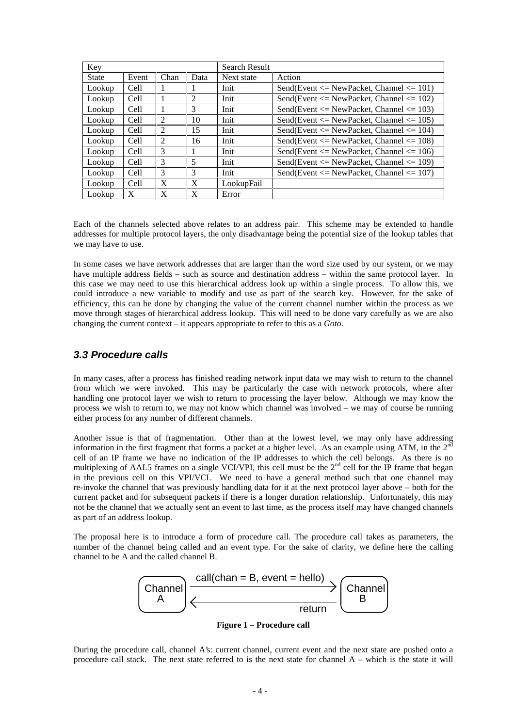| Key          |       |      |      | Search Result |                                                  |
|--------------|-------|------|------|---------------|--------------------------------------------------|
| <b>State</b> | Event | Chan | Data | Next state    | Action                                           |
| Lookup       | Cell  | -1   |      | Init          | Send(Event $\leq$ NewPacket, Channel $\leq$ 101) |
| Lookup       | Cell  | 1    | 2    | Init          | Send(Event $\leq$ NewPacket, Channel $\leq$ 102) |
| Lookup       | Cell  | 1    | 3    | Init          | Send(Event $\leq$ NewPacket, Channel $\leq$ 103) |
| Lookup       | Cell  | 2    | 10   | Init          | Send(Event $\leq$ NewPacket, Channel $\leq$ 105) |
| Lookup       | Cell  | 2    | 15   | Init          | Send(Event $\leq$ NewPacket, Channel $\leq$ 104) |
| Lookup       | Cell  | 2    | 16   | Init          | Send(Event $\leq$ NewPacket, Channel $\leq$ 108) |
| Lookup       | Cell  | 3    |      | Init          | Send(Event $\leq$ NewPacket, Channel $\leq$ 106) |
| Lookup       | Cell  | 3    | 5    | Init          | Send(Event $\leq$ NewPacket, Channel $\leq$ 109) |
| Lookup       | Cell  | 3    | 3    | Init          | Send(Event $\leq$ NewPacket, Channel $\leq$ 107) |
| Lookup       | Cell  | X    | X    | LookupFail    |                                                  |
| Lookup       | X     | X    | X    | Error         |                                                  |

Each of the channels selected above relates to an address pair. This scheme may be extended to handle addresses for multiple protocol layers, the only disadvantage being the potential size of the lookup tables that we may have to use.

In some cases we have network addresses that are larger than the word size used by our system, or we may have multiple address fields – such as source and destination address – within the same protocol layer. In this case we may need to use this hierarchical address look up within a single process. To allow this, we could introduce a new variable to modify and use as part of the search key. However, for the sake of efficiency, this can be done by changing the value of the current channel number within the process as we move through stages of hierarchical address lookup. This will need to be done vary carefully as we are also changing the current context – it appears appropriate to refer to this as a *Goto*.

#### **3.3 Procedure calls**

In many cases, after a process has finished reading network input data we may wish to return to the channel from which we were invoked. This may be particularly the case with network protocols, where after handling one protocol layer we wish to return to processing the layer below. Although we may know the process we wish to return to, we may not know which channel was involved – we may of course be running either process for any number of different channels.

Another issue is that of fragmentation. Other than at the lowest level, we may only have addressing information in the first fragment that forms a packet at a higher level. As an example using ATM, in the  $2<sup>nd</sup>$ cell of an IP frame we have no indication of the IP addresses to which the cell belongs. As there is no multiplexing of AAL5 frames on a single VCI/VPI, this cell must be the  $2<sup>nd</sup>$  cell for the IP frame that began in the previous cell on this VPI/VCI. We need to have a general method such that one channel may re-invoke the channel that was previously handling data for it at the next protocol layer above – both for the current packet and for subsequent packets if there is a longer duration relationship. Unfortunately, this may not be the channel that we actually sent an event to last time, as the process itself may have changed channels as part of an address lookup.

The proposal here is to introduce a form of procedure call. The procedure call takes as parameters, the number of the channel being called and an event type. For the sake of clarity, we define here the calling channel to be A and the called channel B.



**Figure 1 – Procedure call**

During the procedure call, channel A's: current channel, current event and the next state are pushed onto a procedure call stack. The next state referred to is the next state for channel A – which is the state it will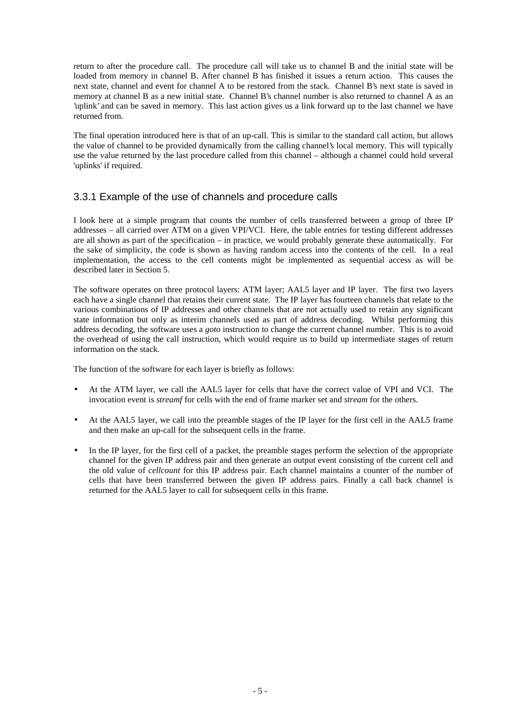return to after the procedure call. The procedure call will take us to channel B and the initial state will be loaded from memory in channel B. After channel B has finished it issues a return action. This causes the next state, channel and event for channel A to be restored from the stack. Channel B's next state is saved in memory at channel B as a new initial state. Channel B's channel number is also returned to channel A as an 'uplink' and can be saved in memory. This last action gives us a link forward up to the last channel we have returned from.

The final operation introduced here is that of an up-call. This is similar to the standard call action, but allows the value of channel to be provided dynamically from the calling channel's local memory. This will typically use the value returned by the last procedure called from this channel – although a channel could hold several 'uplinks' if required.

#### 3.3.1 Example of the use of channels and procedure calls

I look here at a simple program that counts the number of cells transferred between a group of three IP addresses – all carried over ATM on a given VPI/VCI. Here, the table entries for testing different addresses are all shown as part of the specification – in practice, we would probably generate these automatically. For the sake of simplicity, the code is shown as having random access into the contents of the cell. In a real implementation, the access to the cell contents might be implemented as sequential access as will be described later in Section 5.

The software operates on three protocol layers: ATM layer; AAL5 layer and IP layer. The first two layers each have a single channel that retains their current state. The IP layer has fourteen channels that relate to the various combinations of IP addresses and other channels that are not actually used to retain any significant state information but only as interim channels used as part of address decoding. Whilst performing this address decoding, the software uses a *goto* instruction to change the current channel number. This is to avoid the overhead of using the call instruction, which would require us to build up intermediate stages of return information on the stack.

The function of the software for each layer is briefly as follows:

- At the ATM layer, we call the AAL5 layer for cells that have the correct value of VPI and VCI. The invocation event is *streamf* for cells with the end of frame marker set and *stream* for the others.
- At the AAL5 layer, we call into the preamble stages of the IP layer for the first cell in the AAL5 frame and then make an up-call for the subsequent cells in the frame.
- In the IP layer, for the first cell of a packet, the preamble stages perform the selection of the appropriate channel for the given IP address pair and then generate an output event consisting of the current cell and the old value of *cellcount* for this IP address pair. Each channel maintains a counter of the number of cells that have been transferred between the given IP address pairs. Finally a call back channel is returned for the AAL5 layer to call for subsequent cells in this frame.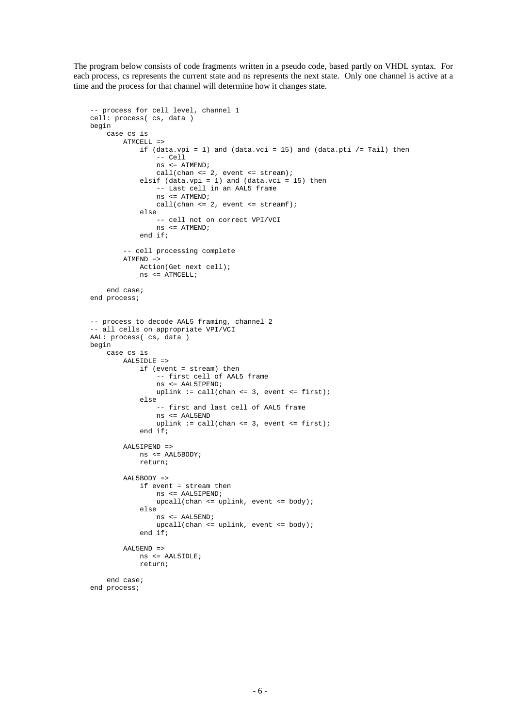The program below consists of code fragments written in a pseudo code, based partly on VHDL syntax. For each process, cs represents the current state and ns represents the next state. Only one channel is active at a time and the process for that channel will determine how it changes state.

```
 -- process for cell level, channel 1
cell: process( cs, data )
begin
    case cs is
       ATMCRI.I. = >if (data.vpi = 1) and (data.vci = 15) and (data.pti /= Tail) then
                 -- Cell
                 ns <= ATMEND;
                call(char \leq 2, event \leq start);
             elsif (data.vpi = 1) and (data.vci = 15) then
                  -- Last cell in an AAL5 frame
                 ns <= ATMEND;
                call(chan <= 2, event <= streamf);
             else
                 -- cell not on correct VPI/VCI
                 ns <= ATMEND;
            end if;
         -- cell processing complete
       ATMEND =>
            Action(Get next cell);
            ns <= ATMCELL;
    end case;
end process;
-- process to decode AAL5 framing, channel 2
-- all cells on appropriate VPI/VCI
AAL: process( cs, data )
begin
    case cs is
        AAL5IDLE =>
            if (event = stream) then
                 -- first cell of AAL5 frame
                 ns <= AAL5IPEND;
                uplink := call(chan <= 3, event <= first);
             else
                 -- first and last cell of AAL5 frame
                 ns <= AAL5END
                 uplink := call(chan <= 3, event <= first);
            end if;
        AAL5IPEND =>
            ns <= AAL5BODY;
            return;
        AAL5BODY =>
            if event = stream then
                 ns <= AAL5IPEND;
                upcall(char \leup{uplink}, event \leq body); else
                 ns <= AAL5END;
                 upcall(chan <= uplink, event <= body);
            end if;
        AAL5END =>
            ns <= AAL5IDLE;
            return;
    end case;
end process;
```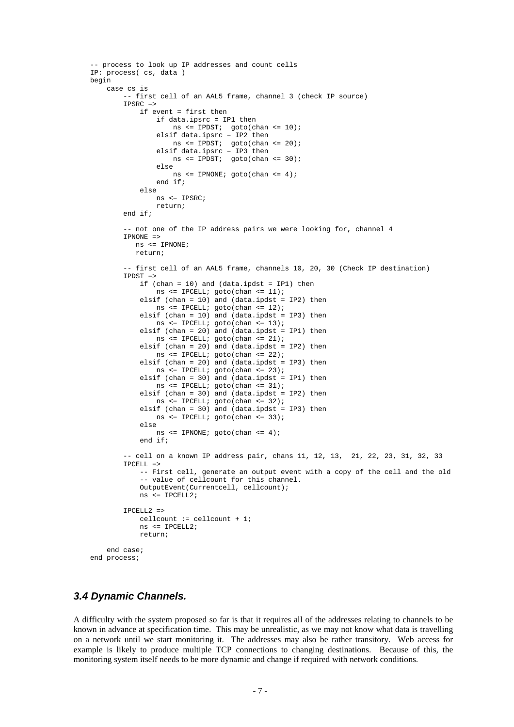```
 -- process to look up IP addresses and count cells
IP: process( cs, data )
begin
    case cs is
         -- first cell of an AAL5 frame, channel 3 (check IP source)
        IPSRC =>
            if event = first then
                if data.ipsrc = IP1 then
                    ns <= IPDST; goto(chan <= 10);
                 elsif data.ipsrc = IP2 then
                   ns <= 1PDST; goto(chan <= 20);
                 elsif data.ipsrc = IP3 then
                   ns <= IPDST; goto(chan <= 30);
                 else
                    ns <= IPNONE; goto(chan <= 4);
                end if;
            else
                ns <= IPSRC;
                return;
        end if;
        -- not one of the IP address pairs we were looking for, channel 4
        IPNONE =>
          ns <= IPNONE;
          return;
        -- first cell of an AAL5 frame, channels 10, 20, 30 (Check IP destination)
        IPDST =>
            if (chan = 10) and (data.ipdst = IP1) then
               ns \leq IPCELL; goto(chan \leq 11);
           elsif (chan = 10) and (data.ipdst = IP2) then
               ns <= IPCELL; goto(chan <= 12);
           elsif (chan = 10) and (data.ipdst = IP3) then
               ns \leq IPCELL; \gammaoto(chan \leq 13);
            elsif (chan = 20) and (data.ipdst = IP1) then
               ns <= IPCELL; goto(chan \le 21);
            elsif (chan = 20) and (data.ipdst = IP2) then
               ns <= IPCELL; goto(chan \leq 22);
            elsif (chan = 20) and (data.ipdst = IP3) then
                ns <= IPCELL; goto(chan <= 23);
            elsif (chan = 30) and (data.ipdst = IP1) then
               ns \leq IPCELL; goto(chan \leq 31);
           elsif (chan = 30) and (data.ipdst = IP2) then
                ns <= IPCELL; goto(chan <= 32);
             elsif (chan = 30) and (data.ipdst = IP3) then
               ns \leq IPCELL; goto(chan \leq 33);
             else
                ns <= IPNONE; goto(chan <= 4);
             end if;
        -- cell on a known IP address pair, chans 11, 12, 13, 21, 22, 23, 31, 32, 33
       IPCRLI = > -- First cell, generate an output event with a copy of the cell and the old
             -- value of cellcount for this channel.
            OutputEvent(Currentcell, cellcount);
            ns <= IPCELL2;
        IPCELL2 =>
            cellcount := cellcount + 1;
            ns <= IPCELL2;
            return;
    end case;
end process;
```
#### **3.4 Dynamic Channels.**

A difficulty with the system proposed so far is that it requires all of the addresses relating to channels to be known in advance at specification time. This may be unrealistic, as we may not know what data is travelling on a network until we start monitoring it. The addresses may also be rather transitory. Web access for example is likely to produce multiple TCP connections to changing destinations. Because of this, the monitoring system itself needs to be more dynamic and change if required with network conditions.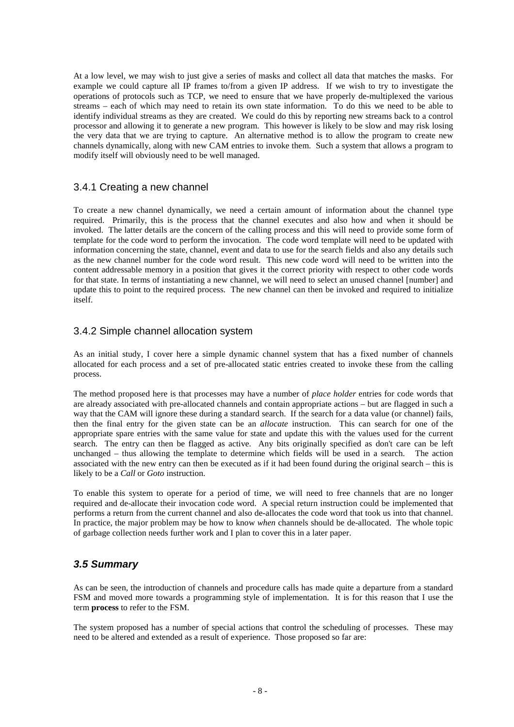At a low level, we may wish to just give a series of masks and collect all data that matches the masks. For example we could capture all IP frames to/from a given IP address. If we wish to try to investigate the operations of protocols such as TCP, we need to ensure that we have properly de-multiplexed the various streams – each of which may need to retain its own state information. To do this we need to be able to identify individual streams as they are created. We could do this by reporting new streams back to a control processor and allowing it to generate a new program. This however is likely to be slow and may risk losing the very data that we are trying to capture. An alternative method is to allow the program to create new channels dynamically, along with new CAM entries to invoke them. Such a system that allows a program to modify itself will obviously need to be well managed.

#### 3.4.1 Creating a new channel

To create a new channel dynamically, we need a certain amount of information about the channel type required. Primarily, this is the process that the channel executes and also how and when it should be invoked. The latter details are the concern of the calling process and this will need to provide some form of template for the code word to perform the invocation. The code word template will need to be updated with information concerning the state, channel, event and data to use for the search fields and also any details such as the new channel number for the code word result. This new code word will need to be written into the content addressable memory in a position that gives it the correct priority with respect to other code words for that state. In terms of instantiating a new channel, we will need to select an unused channel [number] and update this to point to the required process. The new channel can then be invoked and required to initialize itself.

#### 3.4.2 Simple channel allocation system

As an initial study, I cover here a simple dynamic channel system that has a fixed number of channels allocated for each process and a set of pre-allocated static entries created to invoke these from the calling process.

The method proposed here is that processes may have a number of *place holder* entries for code words that are already associated with pre-allocated channels and contain appropriate actions – but are flagged in such a way that the CAM will ignore these during a standard search. If the search for a data value (or channel) fails, then the final entry for the given state can be an *allocate* instruction. This can search for one of the appropriate spare entries with the same value for state and update this with the values used for the current search. The entry can then be flagged as active. Any bits originally specified as don't care can be left unchanged – thus allowing the template to determine which fields will be used in a search. The action associated with the new entry can then be executed as if it had been found during the original search – this is likely to be a *Call* or *Goto* instruction.

To enable this system to operate for a period of time, we will need to free channels that are no longer required and de-allocate their invocation code word. A special return instruction could be implemented that performs a return from the current channel and also de-allocates the code word that took us into that channel. In practice, the major problem may be how to know *when* channels should be de-allocated. The whole topic of garbage collection needs further work and I plan to cover this in a later paper.

## **3.5 Summary**

As can be seen, the introduction of channels and procedure calls has made quite a departure from a standard FSM and moved more towards a programming style of implementation. It is for this reason that I use the term **process** to refer to the FSM.

The system proposed has a number of special actions that control the scheduling of processes. These may need to be altered and extended as a result of experience. Those proposed so far are: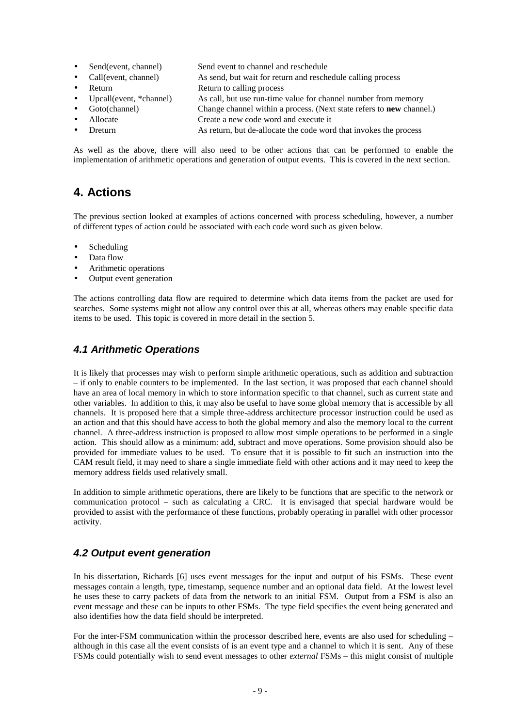- Send(event, channel) Send event to channel and reschedule
- Call(event, channel) As send, but wait for return and reschedule calling process
- **Property** Return to calling process
- Upcall(event, \*channel) As call, but use run-time value for channel number from memory
	- Goto(channel) Change channel within a process. (Next state refers to **new** channel.)
- Allocate Create a new code word and execute it
- Dreturn As return, but de-allocate the code word that invokes the process

As well as the above, there will also need to be other actions that can be performed to enable the implementation of arithmetic operations and generation of output events. This is covered in the next section.

## **4. Actions**

The previous section looked at examples of actions concerned with process scheduling, however, a number of different types of action could be associated with each code word such as given below.

- **Scheduling**
- Data flow
- Arithmetic operations
- Output event generation

The actions controlling data flow are required to determine which data items from the packet are used for searches. Some systems might not allow any control over this at all, whereas others may enable specific data items to be used. This topic is covered in more detail in the section 5.

## **4.1 Arithmetic Operations**

It is likely that processes may wish to perform simple arithmetic operations, such as addition and subtraction – if only to enable counters to be implemented. In the last section, it was proposed that each channel should have an area of local memory in which to store information specific to that channel, such as current state and other variables. In addition to this, it may also be useful to have some global memory that is accessible by all channels. It is proposed here that a simple three-address architecture processor instruction could be used as an action and that this should have access to both the global memory and also the memory local to the current channel. A three-address instruction is proposed to allow most simple operations to be performed in a single action. This should allow as a minimum: add, subtract and move operations. Some provision should also be provided for immediate values to be used. To ensure that it is possible to fit such an instruction into the CAM result field, it may need to share a single immediate field with other actions and it may need to keep the memory address fields used relatively small.

In addition to simple arithmetic operations, there are likely to be functions that are specific to the network or communication protocol – such as calculating a CRC. It is envisaged that special hardware would be provided to assist with the performance of these functions, probably operating in parallel with other processor activity.

## **4.2 Output event generation**

In his dissertation, Richards [6] uses event messages for the input and output of his FSMs. These event messages contain a length, type, timestamp, sequence number and an optional data field. At the lowest level he uses these to carry packets of data from the network to an initial FSM. Output from a FSM is also an event message and these can be inputs to other FSMs. The type field specifies the event being generated and also identifies how the data field should be interpreted.

For the inter-FSM communication within the processor described here, events are also used for scheduling – although in this case all the event consists of is an event type and a channel to which it is sent. Any of these FSMs could potentially wish to send event messages to other *external* FSMs – this might consist of multiple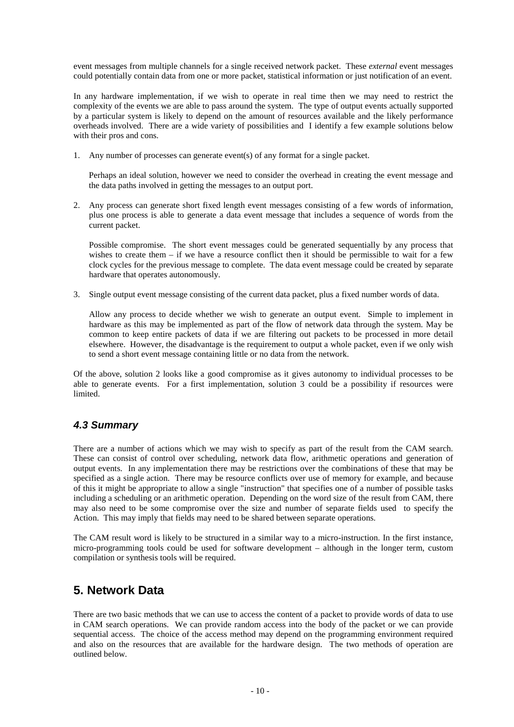event messages from multiple channels for a single received network packet. These *external* event messages could potentially contain data from one or more packet, statistical information or just notification of an event.

In any hardware implementation, if we wish to operate in real time then we may need to restrict the complexity of the events we are able to pass around the system. The type of output events actually supported by a particular system is likely to depend on the amount of resources available and the likely performance overheads involved. There are a wide variety of possibilities and I identify a few example solutions below with their pros and cons.

1. Any number of processes can generate event(s) of any format for a single packet.

Perhaps an ideal solution, however we need to consider the overhead in creating the event message and the data paths involved in getting the messages to an output port.

2. Any process can generate short fixed length event messages consisting of a few words of information, plus one process is able to generate a data event message that includes a sequence of words from the current packet.

Possible compromise. The short event messages could be generated sequentially by any process that wishes to create them  $-$  if we have a resource conflict then it should be permissible to wait for a few clock cycles for the previous message to complete. The data event message could be created by separate hardware that operates autonomously.

3. Single output event message consisting of the current data packet, plus a fixed number words of data.

Allow any process to decide whether we wish to generate an output event. Simple to implement in hardware as this may be implemented as part of the flow of network data through the system. May be common to keep entire packets of data if we are filtering out packets to be processed in more detail elsewhere. However, the disadvantage is the requirement to output a whole packet, even if we only wish to send a short event message containing little or no data from the network.

Of the above, solution 2 looks like a good compromise as it gives autonomy to individual processes to be able to generate events. For a first implementation, solution 3 could be a possibility if resources were limited.

## **4.3 Summary**

There are a number of actions which we may wish to specify as part of the result from the CAM search. These can consist of control over scheduling, network data flow, arithmetic operations and generation of output events. In any implementation there may be restrictions over the combinations of these that may be specified as a single action. There may be resource conflicts over use of memory for example, and because of this it might be appropriate to allow a single "instruction" that specifies one of a number of possible tasks including a scheduling or an arithmetic operation. Depending on the word size of the result from CAM, there may also need to be some compromise over the size and number of separate fields used to specify the Action. This may imply that fields may need to be shared between separate operations.

The CAM result word is likely to be structured in a similar way to a micro-instruction. In the first instance, micro-programming tools could be used for software development – although in the longer term, custom compilation or synthesis tools will be required.

## **5. Network Data**

There are two basic methods that we can use to access the content of a packet to provide words of data to use in CAM search operations. We can provide random access into the body of the packet or we can provide sequential access. The choice of the access method may depend on the programming environment required and also on the resources that are available for the hardware design. The two methods of operation are outlined below.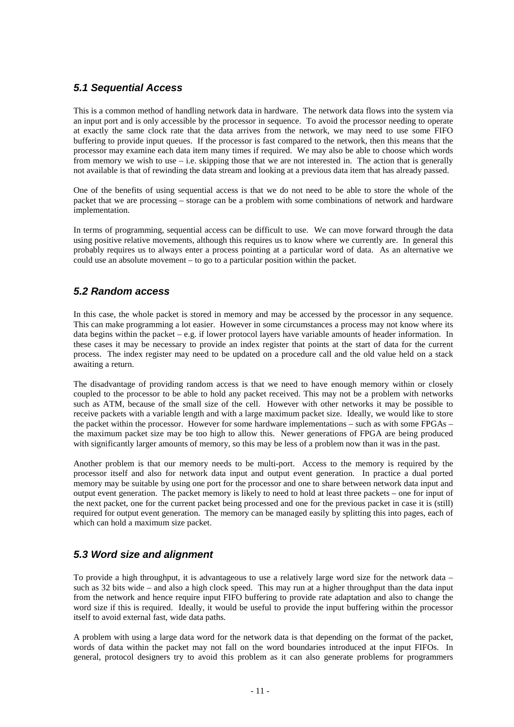## **5.1 Sequential Access**

This is a common method of handling network data in hardware. The network data flows into the system via an input port and is only accessible by the processor in sequence. To avoid the processor needing to operate at exactly the same clock rate that the data arrives from the network, we may need to use some FIFO buffering to provide input queues. If the processor is fast compared to the network, then this means that the processor may examine each data item many times if required. We may also be able to choose which words from memory we wish to use  $-$  i.e. skipping those that we are not interested in. The action that is generally not available is that of rewinding the data stream and looking at a previous data item that has already passed.

One of the benefits of using sequential access is that we do not need to be able to store the whole of the packet that we are processing – storage can be a problem with some combinations of network and hardware implementation.

In terms of programming, sequential access can be difficult to use. We can move forward through the data using positive relative movements, although this requires us to know where we currently are. In general this probably requires us to always enter a process pointing at a particular word of data. As an alternative we could use an absolute movement – to go to a particular position within the packet.

## **5.2 Random access**

In this case, the whole packet is stored in memory and may be accessed by the processor in any sequence. This can make programming a lot easier. However in some circumstances a process may not know where its data begins within the packet – e.g. if lower protocol layers have variable amounts of header information. In these cases it may be necessary to provide an index register that points at the start of data for the current process. The index register may need to be updated on a procedure call and the old value held on a stack awaiting a return.

The disadvantage of providing random access is that we need to have enough memory within or closely coupled to the processor to be able to hold any packet received. This may not be a problem with networks such as ATM, because of the small size of the cell. However with other networks it may be possible to receive packets with a variable length and with a large maximum packet size. Ideally, we would like to store the packet within the processor. However for some hardware implementations – such as with some FPGAs – the maximum packet size may be too high to allow this. Newer generations of FPGA are being produced with significantly larger amounts of memory, so this may be less of a problem now than it was in the past.

Another problem is that our memory needs to be multi-port. Access to the memory is required by the processor itself and also for network data input and output event generation. In practice a dual ported memory may be suitable by using one port for the processor and one to share between network data input and output event generation. The packet memory is likely to need to hold at least three packets – one for input of the next packet, one for the current packet being processed and one for the previous packet in case it is (still) required for output event generation. The memory can be managed easily by splitting this into pages, each of which can hold a maximum size packet.

## **5.3 Word size and alignment**

To provide a high throughput, it is advantageous to use a relatively large word size for the network data – such as 32 bits wide – and also a high clock speed. This may run at a higher throughput than the data input from the network and hence require input FIFO buffering to provide rate adaptation and also to change the word size if this is required. Ideally, it would be useful to provide the input buffering within the processor itself to avoid external fast, wide data paths.

A problem with using a large data word for the network data is that depending on the format of the packet, words of data within the packet may not fall on the word boundaries introduced at the input FIFOs. In general, protocol designers try to avoid this problem as it can also generate problems for programmers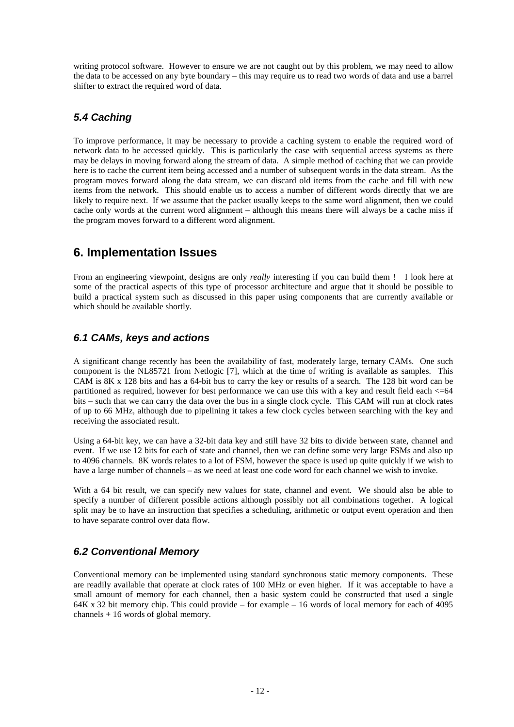writing protocol software. However to ensure we are not caught out by this problem, we may need to allow the data to be accessed on any byte boundary – this may require us to read two words of data and use a barrel shifter to extract the required word of data.

## **5.4 Caching**

To improve performance, it may be necessary to provide a caching system to enable the required word of network data to be accessed quickly. This is particularly the case with sequential access systems as there may be delays in moving forward along the stream of data. A simple method of caching that we can provide here is to cache the current item being accessed and a number of subsequent words in the data stream. As the program moves forward along the data stream, we can discard old items from the cache and fill with new items from the network. This should enable us to access a number of different words directly that we are likely to require next. If we assume that the packet usually keeps to the same word alignment, then we could cache only words at the current word alignment – although this means there will always be a cache miss if the program moves forward to a different word alignment.

## **6. Implementation Issues**

From an engineering viewpoint, designs are only *really* interesting if you can build them ! I look here at some of the practical aspects of this type of processor architecture and argue that it should be possible to build a practical system such as discussed in this paper using components that are currently available or which should be available shortly.

## **6.1 CAMs, keys and actions**

A significant change recently has been the availability of fast, moderately large, ternary CAMs. One such component is the NL85721 from Netlogic [7], which at the time of writing is available as samples. This CAM is 8K x 128 bits and has a 64-bit bus to carry the key or results of a search. The 128 bit word can be partitioned as required, however for best performance we can use this with a key and result field each <= 64 bits – such that we can carry the data over the bus in a single clock cycle. This CAM will run at clock rates of up to 66 MHz, although due to pipelining it takes a few clock cycles between searching with the key and receiving the associated result.

Using a 64-bit key, we can have a 32-bit data key and still have 32 bits to divide between state, channel and event. If we use 12 bits for each of state and channel, then we can define some very large FSMs and also up to 4096 channels. 8K words relates to a lot of FSM, however the space is used up quite quickly if we wish to have a large number of channels – as we need at least one code word for each channel we wish to invoke.

With a 64 bit result, we can specify new values for state, channel and event. We should also be able to specify a number of different possible actions although possibly not all combinations together. A logical split may be to have an instruction that specifies a scheduling, arithmetic or output event operation and then to have separate control over data flow.

## **6.2 Conventional Memory**

Conventional memory can be implemented using standard synchronous static memory components. These are readily available that operate at clock rates of 100 MHz or even higher. If it was acceptable to have a small amount of memory for each channel, then a basic system could be constructed that used a single 64K x 32 bit memory chip. This could provide – for example – 16 words of local memory for each of 4095 channels + 16 words of global memory.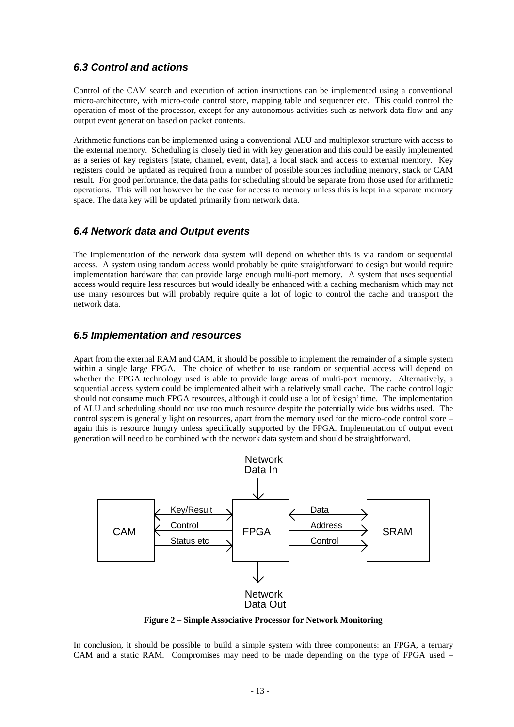#### **6.3 Control and actions**

Control of the CAM search and execution of action instructions can be implemented using a conventional micro-architecture, with micro-code control store, mapping table and sequencer etc. This could control the operation of most of the processor, except for any autonomous activities such as network data flow and any output event generation based on packet contents.

Arithmetic functions can be implemented using a conventional ALU and multiplexor structure with access to the external memory. Scheduling is closely tied in with key generation and this could be easily implemented as a series of key registers [state, channel, event, data], a local stack and access to external memory. Key registers could be updated as required from a number of possible sources including memory, stack or CAM result. For good performance, the data paths for scheduling should be separate from those used for arithmetic operations. This will not however be the case for access to memory unless this is kept in a separate memory space. The data key will be updated primarily from network data.

#### **6.4 Network data and Output events**

The implementation of the network data system will depend on whether this is via random or sequential access. A system using random access would probably be quite straightforward to design but would require implementation hardware that can provide large enough multi-port memory. A system that uses sequential access would require less resources but would ideally be enhanced with a caching mechanism which may not use many resources but will probably require quite a lot of logic to control the cache and transport the network data.

#### **6.5 Implementation and resources**

Apart from the external RAM and CAM, it should be possible to implement the remainder of a simple system within a single large FPGA. The choice of whether to use random or sequential access will depend on whether the FPGA technology used is able to provide large areas of multi-port memory. Alternatively, a sequential access system could be implemented albeit with a relatively small cache. The cache control logic should not consume much FPGA resources, although it could use a lot of 'design' time. The implementation of ALU and scheduling should not use too much resource despite the potentially wide bus widths used. The control system is generally light on resources, apart from the memory used for the micro-code control store – again this is resource hungry unless specifically supported by the FPGA. Implementation of output event generation will need to be combined with the network data system and should be straightforward.



**Figure 2 – Simple Associative Processor for Network Monitoring**

In conclusion, it should be possible to build a simple system with three components: an FPGA, a ternary CAM and a static RAM. Compromises may need to be made depending on the type of FPGA used –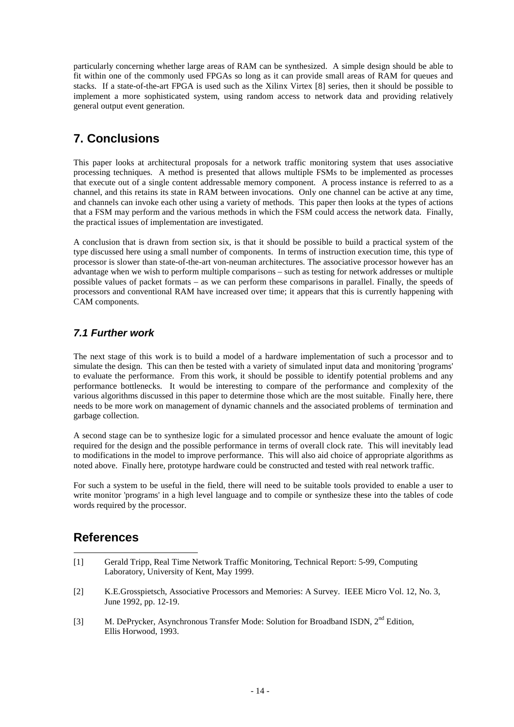particularly concerning whether large areas of RAM can be synthesized. A simple design should be able to fit within one of the commonly used FPGAs so long as it can provide small areas of RAM for queues and stacks. If a state-of-the-art FPGA is used such as the Xilinx Virtex [8] series, then it should be possible to implement a more sophisticated system, using random access to network data and providing relatively general output event generation.

## **7. Conclusions**

This paper looks at architectural proposals for a network traffic monitoring system that uses associative processing techniques. A method is presented that allows multiple FSMs to be implemented as processes that execute out of a single content addressable memory component. A process instance is referred to as a channel, and this retains its state in RAM between invocations. Only one channel can be active at any time, and channels can invoke each other using a variety of methods. This paper then looks at the types of actions that a FSM may perform and the various methods in which the FSM could access the network data. Finally, the practical issues of implementation are investigated.

A conclusion that is drawn from section six, is that it should be possible to build a practical system of the type discussed here using a small number of components. In terms of instruction execution time, this type of processor is slower than state-of-the-art von-neuman architectures. The associative processor however has an advantage when we wish to perform multiple comparisons – such as testing for network addresses or multiple possible values of packet formats – as we can perform these comparisons in parallel. Finally, the speeds of processors and conventional RAM have increased over time; it appears that this is currently happening with CAM components.

## **7.1 Further work**

The next stage of this work is to build a model of a hardware implementation of such a processor and to simulate the design. This can then be tested with a variety of simulated input data and monitoring 'programs' to evaluate the performance. From this work, it should be possible to identify potential problems and any performance bottlenecks. It would be interesting to compare of the performance and complexity of the various algorithms discussed in this paper to determine those which are the most suitable. Finally here, there needs to be more work on management of dynamic channels and the associated problems of termination and garbage collection.

A second stage can be to synthesize logic for a simulated processor and hence evaluate the amount of logic required for the design and the possible performance in terms of overall clock rate. This will inevitably lead to modifications in the model to improve performance. This will also aid choice of appropriate algorithms as noted above. Finally here, prototype hardware could be constructed and tested with real network traffic.

For such a system to be useful in the field, there will need to be suitable tools provided to enable a user to write monitor 'programs' in a high level language and to compile or synthesize these into the tables of code words required by the processor.

## **References**

- $\overline{a}$ [1] Gerald Tripp, Real Time Network Traffic Monitoring, Technical Report: 5-99, Computing Laboratory, University of Kent, May 1999.
- [2] K.E.Grosspietsch, Associative Processors and Memories: A Survey. IEEE Micro Vol. 12, No. 3, June 1992, pp. 12-19.
- [3] M. DePrycker, Asynchronous Transfer Mode: Solution for Broadband ISDN, 2<sup>nd</sup> Edition, Ellis Horwood, 1993.